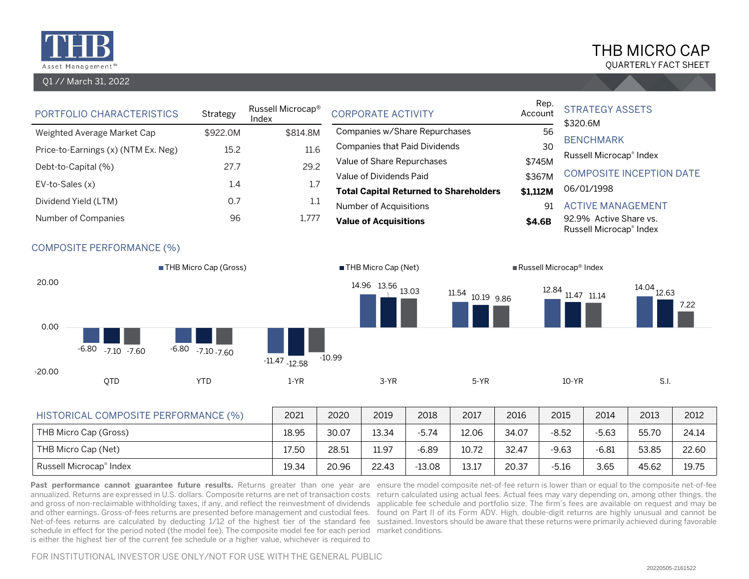

## Q1 // March 31, 2022

# THB MICRO CAP

QUARTERLY FACT SHEET

| PORTFOLIO CHARACTERISTICS                   |                                  | Strategy                | Index | Russell Microcap <sup>®</sup><br><b>CORPORATE ACTIVITY</b> |                                               | Account                              | Rep.    | <b>STRATEGY ASSETS</b><br>\$320.6M  |       |                          |                                                   |                          |       |
|---------------------------------------------|----------------------------------|-------------------------|-------|------------------------------------------------------------|-----------------------------------------------|--------------------------------------|---------|-------------------------------------|-------|--------------------------|---------------------------------------------------|--------------------------|-------|
| Weighted Average Market Cap<br>\$922.0M     |                                  |                         |       | \$814.8M                                                   |                                               | Companies w/Share Repurchases        |         |                                     |       | 56                       | <b>BENCHMARK</b>                                  |                          |       |
| 15.2<br>Price-to-Earnings (x) (NTM Ex. Neg) |                                  |                         |       | 11.6                                                       |                                               | <b>Companies that Paid Dividends</b> |         |                                     |       | 30                       | Russell Microcap® Index                           |                          |       |
| 27.7<br>Debt-to-Capital (%)                 |                                  |                         |       | 29.2                                                       |                                               | Value of Share Repurchases           |         |                                     |       | \$745M                   |                                                   |                          |       |
| EV-to-Sales (x)<br>1.4                      |                                  |                         |       | 1.7                                                        |                                               | Value of Dividends Paid              |         |                                     |       | \$367M                   | <b>COMPOSITE INCEPTION DATE</b>                   |                          |       |
|                                             |                                  |                         |       |                                                            | <b>Total Capital Returned to Shareholders</b> |                                      |         | \$1,112M                            |       | 06/01/1998               |                                                   |                          |       |
| Dividend Yield (LTM)<br>0.7                 |                                  |                         |       |                                                            | 1.1<br>Number of Acquisitions                 |                                      |         |                                     | 91    | <b>ACTIVE MANAGEMENT</b> |                                                   |                          |       |
| 96<br>Number of Companies                   |                                  |                         |       | 1,777                                                      |                                               | <b>Value of Acquisitions</b>         |         |                                     |       | \$4.6B                   | 92.9% Active Share vs.<br>Russell Microcap® Index |                          |       |
|                                             | <b>COMPOSITE PERFORMANCE (%)</b> |                         |       |                                                            |                                               |                                      |         |                                     |       |                          |                                                   |                          |       |
| <b>THB Micro Cap (Gross)</b>                |                                  |                         |       | THB Micro Cap (Net)                                        |                                               |                                      |         | Russell Microcap <sup>®</sup> Index |       |                          |                                                   |                          |       |
| 20.00                                       |                                  |                         |       |                                                            |                                               | 14.96 13.56 13.03                    |         | $11.54$ 10.19 9.86                  |       | $12.84$ 11.47 11.14      |                                                   | $14.04$ <sub>12.63</sub> | 7.22  |
| 0.00                                        | $-6.80$ $-7.10$ $-7.60$          | $-6.80$ $-7.10$ $-7.60$ |       | $-11.47$ $-12.58$                                          | $-10.99$                                      |                                      |         |                                     |       |                          |                                                   |                          |       |
| $-20.00$                                    | QTD                              | <b>YTD</b>              |       | $1-YR$                                                     |                                               | $3-YR$                               |         | $5-YR$                              |       | $10-YR$                  |                                                   | S.I.                     |       |
| HISTORICAL COMPOSITE PERFORMANCE (%)        |                                  |                         |       | 2021                                                       | 2020                                          | 2019                                 | 2018    | 2017                                | 2016  | 2015                     | 2014                                              | 2013                     | 2012  |
| THB Micro Cap (Gross)                       |                                  |                         |       | 18.95                                                      | 30.07                                         | 13.34                                | $-5.74$ | 12.06                               | 34.07 | $-8.52$                  | $-5.63$                                           | 55.70                    | 24.14 |

THB Micro Cap (Net) 17.50 1 28.51 11.97 -6.89 10.72 32.47 -9.63 -6.81 53.85 22.60 Russell Microcap® Index 19.75 19.34 19.34 20.96 22.43 -13.08 13.17 20.37 -5.16 3.65 45.62 19.75

Past performance cannot guarantee future results. Returns greater than one year are ensure the model composite net-of-fee return is lower than or equal to the composite net-of-fee annualized. Returns are expressed in U.S. dollars. Composite returns are net of transaction costs return calculated using actual fees. Actual fees may vary depending on, among other things, the and gross of non-reclaimable withholding taxes, if any, and reflect the reinvestment of dividends applicable fee schedule and portfolio size. The firm's fees are available on request and may be and other earnings. Gross-of-fees returns are presented before management and custodial fees. ) found on Part II of its Form ADV. High, double-digit returns are highly unusual and cannot be Net-of-fees returns are calculated by deducting 1/12 of the highest tier of the standard fee sustained. Investors should be aware that these returns were primarily achieved during favorable schedule in effect for the period noted (the model fee). The composite model fee for each period market conditions. is either the highest tier of the current fee schedule or a higher value, whichever is required to

FOR INSTITUTIONAL INVESTOR USE ONLY/NOT FOR USE WITH THE GENERAL PUBLIC